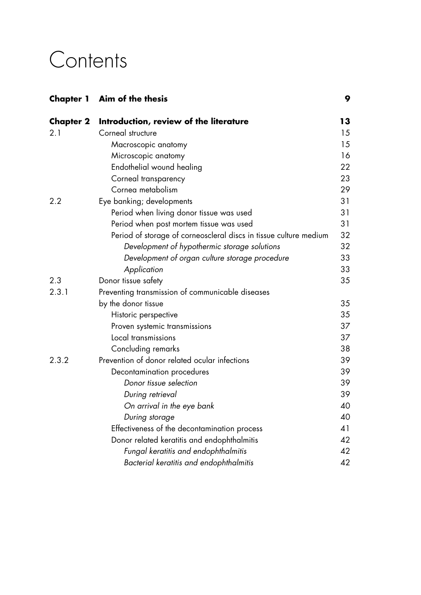## **Contents**

| Chapter 1 | Aim of the thesis                                                 | 9  |
|-----------|-------------------------------------------------------------------|----|
| Chapter 2 | Introduction, review of the literature                            | 13 |
| 2.1       | Corneal structure                                                 | 15 |
|           | Macroscopic anatomy                                               | 15 |
|           | Microscopic anatomy                                               | 16 |
|           | Endothelial wound healing                                         | 22 |
|           | Corneal transparency                                              | 23 |
|           | Cornea metabolism                                                 | 29 |
| 2.2       | Eye banking; developments                                         | 31 |
|           | Period when living donor tissue was used                          | 31 |
|           | Period when post mortem tissue was used                           | 31 |
|           | Period of storage of corneoscleral discs in tissue culture medium | 32 |
|           | Development of hypothermic storage solutions                      | 32 |
|           | Development of organ culture storage procedure                    | 33 |
|           | Application                                                       | 33 |
| 2.3       | Donor tissue safety                                               | 35 |
| 2.3.1     | Preventing transmission of communicable diseases                  |    |
|           | by the donor tissue                                               | 35 |
|           | Historic perspective                                              | 35 |
|           | Proven systemic transmissions                                     | 37 |
|           | Local transmissions                                               | 37 |
|           | Concluding remarks                                                | 38 |
| 2.3.2     | Prevention of donor related ocular infections                     | 39 |
|           | Decontamination procedures                                        | 39 |
|           | Donor tissue selection                                            | 39 |
|           | During retrieval                                                  | 39 |
|           | On arrival in the eye bank                                        | 40 |
|           | During storage                                                    | 40 |
|           | Effectiveness of the decontamination process                      | 41 |
|           | Donor related keratitis and endophthalmitis                       | 42 |
|           | Fungal keratitis and endophthalmitis                              | 42 |
|           | Bacterial keratitis and endophthalmitis                           | 42 |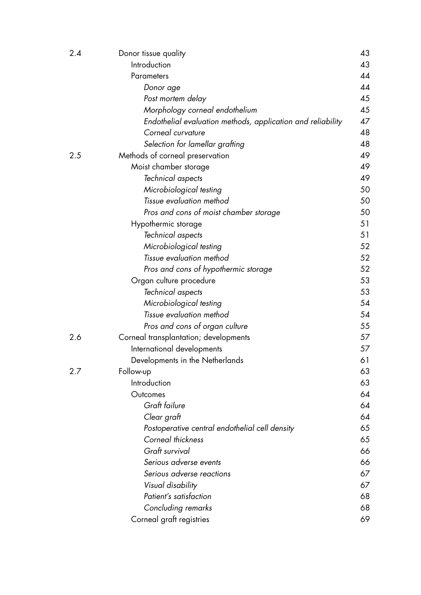| 2.4 | Donor tissue quality                                        | 43 |
|-----|-------------------------------------------------------------|----|
|     | Introduction                                                | 43 |
|     | Parameters                                                  | 44 |
|     | Donor age                                                   | 44 |
|     | Post mortem delay                                           | 45 |
|     | Morphology corneal endothelium                              | 45 |
|     | Endothelial evaluation methods, application and reliability | 47 |
|     | Corneal curvature                                           | 48 |
|     | Selection for lamellar grafting                             | 48 |
| 2.5 | Methods of corneal preservation                             | 49 |
|     | Moist chamber storage                                       | 49 |
|     | Technical aspects                                           | 49 |
|     | Microbiological testing                                     | 50 |
|     | Tissue evaluation method                                    | 50 |
|     | Pros and cons of moist chamber storage                      | 50 |
|     | Hypothermic storage                                         | 51 |
|     | Technical aspects                                           | 51 |
|     | Microbiological testing                                     | 52 |
|     | Tissue evaluation method                                    | 52 |
|     | Pros and cons of hypothermic storage                        | 52 |
|     | Organ culture procedure                                     | 53 |
|     | Technical aspects                                           | 53 |
|     | Microbiological testing                                     | 54 |
|     | Tissue evaluation method                                    | 54 |
|     | Pros and cons of organ culture                              | 55 |
| 2.6 | Corneal transplantation; developments                       | 57 |
|     | International developments                                  | 57 |
|     | Developments in the Netherlands                             | 61 |
| 2.7 | Follow-up                                                   | 63 |
|     | Introduction                                                | 63 |
|     | Outcomes                                                    | 64 |
|     | Graft failure                                               | 64 |
|     | Clear graft                                                 | 64 |
|     | Postoperative central endothelial cell density              | 65 |
|     | Corneal thickness                                           | 65 |
|     | Graft survival                                              | 66 |
|     | Serious adverse events                                      | 66 |
|     | Serious adverse reactions                                   | 67 |
|     | Visual disability                                           | 67 |
|     | Patient's satisfaction                                      | 68 |
|     | Concluding remarks                                          | 68 |
|     | Corneal graft registries                                    | 69 |
|     |                                                             |    |